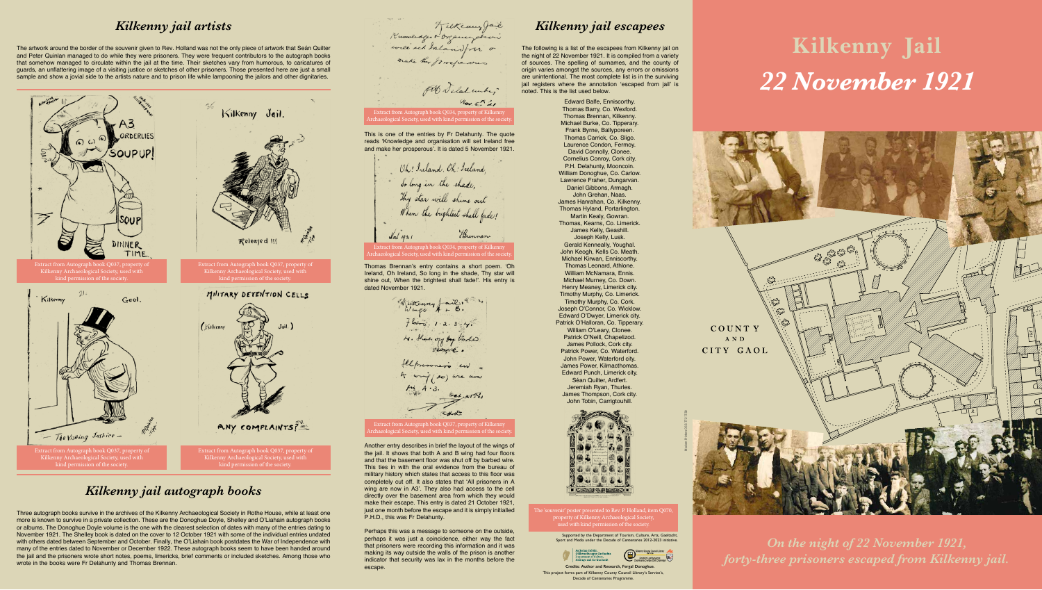

# **Kilkenny Jail** *22 November 1921*

Supported by the Department of Tourism, Culture, Arts, Gaeltacht, ort and Media under the Decade of Centenaries 2012-2023 initiative.



The 'souvenir' poster presented to Rev. P. Holland, item Q070, property of Kilkenny Archaeological Society, used with kind permission of the society.

Extract from Autograph book Q034, property of Kilkenny Archaeological Society, used with kind permission of the society.

Extract from Autograph book Q037, property of Kilkenny Archaeological Society, used with kind permission of the society.

Edward Balfe, Enniscorthy. Thomas Barry, Co. Wexford. Thomas Brennan, Kilkenny. Michael Burke, Co. Tipperary. Frank Byrne, Ballyporeen. Thomas Carrick, Co. Sligo. Laurence Condon, Fermoy. David Connolly, Clonee. Cornelius Conroy, Cork city. P.H. Delahunty, Mooncoin. William Donoghue, Co. Carlow. Lawrence Fraher, Dungarvan. Daniel Gibbons, Armagh. John Grehan, Naas. James Hanrahan, Co. Kilkenny. Thomas Hyland, Portarlington. Martin Kealy, Gowran. Thomas, Kearns, Co. Limerick. James Kelly, Geashill. Joseph Kelly, Lusk. Gerald Kenneally, Youghal. John Keogh, Kells Co. Meath. Michael Kirwan, Enniscorthy. Thomas Leonard, Athlone. William McNamara, Ennis. Michael Murney, Co. Down. Henry Meaney, Limerick city. Timothy Murphy, Co. Limerick. Timothy Murphy, Co. Cork. Joseph O'Connor, Co. Wicklow. Edward O'Dwyer, Limerick city. Patrick O'Halloran, Co. Tipperary. William O'Leary, Clonee. Patrick O'Neill, Chapelizod. James Pollock, Cork city. Patrick Power, Co. Waterford. John Power, Waterford city. James Power, Kilmacthomas. Edward Punch, Limerick city. Séan Quilter, Ardfert. Jeremiah Ryan, Thurles. James Thompson, Cork city. John Tobin, Carrigtouhill.



*On the night of 22 November 1921, forty-three prisoners escaped from Kilkenny jail.* 

### *Kilkenny jail artists*

The artwork around the border of the souvenir given to Rev. Holland was not the only piece of artwork that Seán Quilter and Peter Quinlan managed to do while they were prisoners. They were frequent contributors to the autograph books that somehow managed to circulate within the jail at the time. Their sketches vary from humorous, to caricatures of guards, an unflattering image of a visiting justice or sketches of other prisoners. Those presented here are just a small sample and show a jovial side to the artists nature and to prison life while lampooning the jailors and other dignitaries.

### *Kilkenny jail escapees*

The following is a list of the escapees from Kilkenny jail on the night of 22 November 1921. It is compiled from a variety of sources. The spelling of surnames, and the county of origin varies amongst the sources, any errors or omissions are unintentional. The most complete list is in the surviving jail registers where the annotation 'escaped from jail' is noted. This is the list used below.

> **Credits: Author and Research, Fergal Donoghue.** This project forms part of Kilkenny County Council Library's Service's, Decade of Centenaries Programme.

### *Kilkenny jail autograph books*

Three autograph books survive in the archives of the Kilkenny Archaeological Society in Rothe House, while at least one more is known to survive in a private collection. These are the Donoghue Doyle, Shelley and O'Liahain autograph books or albums. The Donoghue Doyle volume is the one with the clearest selection of dates with many of the entries dating to November 1921. The Shelley book is dated on the cover to 12 October 1921 with some of the individual entries undated with others dated between September and October. Finally, the O'Liahain book postdates the War of Independence with many of the entries dated to November or December 1922. These autograph books seem to have been handed around the jail and the prisoners wrote short notes, poems, limericks, brief comments or included sketches. Among those who wrote in the books were Fr Delahunty and Thomas Brennan.

Kuowerdger breaungstren make her prosperous Fit Delal under,  $\eta_{\alpha}$  state

### Extract from Autograph book Q034, property of Kilkeni chaeological Society, used with kind permission of the society.

This is one of the entries by Fr Delahunty. The quote reads 'Knowledge and organisation will set Ireland free and make her prosperous'. It is dated 5 November 1921.

Oh! Ireland, Oh! Ireland, So long in the shade, Thy star will shine out When the brightest shall fade! Hunnan  $\sqrt{31/1921}$ 

Thomas Brennan's entry contains a short poem. 'Oh Ireland, Oh Ireland, So long in the shade, Thy star will shine out, When the brightest shall fade!'. His entry is dated November 1921.

 $flow = 1.2.3.4.$ N. Shar of by tarke felpresoners in A wrig (so) wre now  $64.81\%$ RHod.

Another entry describes in brief the layout of the wings of the jail. It shows that both A and B wing had four floors and that the basement floor was shut off by barbed wire. This ties in with the oral evidence from the bureau of military history which states that access to this floor was completely cut off. It also states that 'All prisoners in A wing are now in A3'. They also had access to the cell directly over the basement area from which they would make their escape. This entry is dated 21 October 1921, just one month before the escape and it is simply initialled P.H.D., this was Fr Delahunty.

Perhaps this was a message to someone on the outside, perhaps it was just a coincidence, either way the fact that prisoners were recording this information and it was making its way outside the walls of the prison is another indicator that security was lax in the months before the escape.